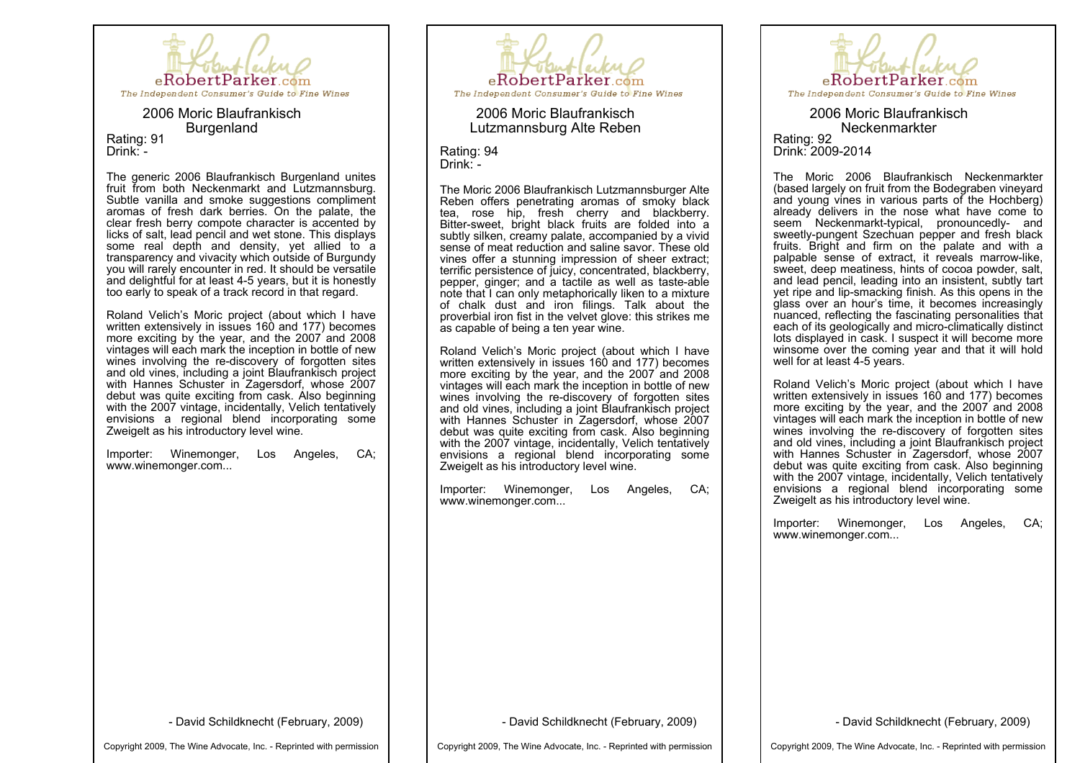

2006 Moric Blaufrankisch Burgenland Rating: 91 Drink: -

The generic 2006 Blaufrankisch Burgenland unites fruit from both Neckenmarkt and Lutzmannsburg. Subtle vanilla and smoke suggestions compliment aromas of fresh dark berries. On the palate, the clear fresh berry compote character is accented by licks of salt, lead pencil and wet stone. This displays some real depth and density, yet allied to a transparency and vivacity which outside of Burgundy you will rarely encounter in red. It should be versatile and delightful for at least 45 years, but it is honestly too early to speak of a track record in that regard.

Roland Velich's Moric project (about which I have written extensively in issues 160 and 177) becomes more exciting by the year, and the 2007 and 2008 vintages will each mark the inception in bottle of new wines involving the re-discovery of forgotten sites and old vines, including a joint Blaufrankisch project with Hannes Schuster in Zagersdorf, whose 2007 debut was quite exciting from cask. Also beginning with the 2007 vintage, incidentally, Velich tentatively envisions a regional blend incorporating some Zweigelt as his introductory level wine.

Importer: Winemonger, Los Angeles, CA; www.winemonger.com...



2006 Moric Blaufrankisch Lutzmannsburg Alte Reben

Rating: 94 Drink: -

The Moric 2006 Blaufrankisch Lutzmannsburger Alte Reben offers penetrating aromas of smoky black tea, rose hip, fresh cherry and blackberry. Bitter-sweet, bright black fruits are folded into a subtly silken, creamy palate, accompanied by a vivid sense of meat reduction and saline savor. These old vines offer a stunning impression of sheer extract; terrific persistence of juicy, concentrated, blackberry, pepper, ginger; and a tactile as well as taste-able note that I can only metaphorically liken to a mixture of chalk dust and iron filings. Talk about the proverbial iron fist in the velvet glove: this strikes me as capable of being a ten year wine.

Roland Velich's Moric project (about which I have written extensively in issues 160 and 177) becomes more exciting by the year, and the 2007 and 2008 vintages will each mark the inception in bottle of new wines involving the re-discovery of forgotten sites and old vines, including a joint Blaufrankisch project with Hannes Schuster in Zagersdorf, whose 2007 debut was quite exciting from cask. Also beginning with the 2007 vintage, incidentally, Velich tentatively envisions a regional blend incorporating some Zweigelt as his introductory level wine.

Importer: Winemonger, Los Angeles, CA; www.winemonger.com...



2006 Moric Blaufrankisch Neckenmarkter Rating: 92 Drink: 2009-2014

The Moric 2006 Blaufrankisch Neckenmarkter (based largely on fruit from the Bodegraben vineyard and young vines in various parts of the Hochberg) already delivers in the nose what have come to seem Neckenmarkt-typical, pronouncedly- and sweetly-pungent Szechuan pepper and fresh black fruits. Bright and firm on the palate and with a palpable sense of extract, it reveals marrow-like, sweet, deep meatiness, hints of cocoa powder, salt, and lead pencil, leading into an insistent, subtly tart yet ripe and lip-smacking finish. As this opens in the glass over an hour's time, it becomes increasingly nuanced, reflecting the fascinating personalities that each of its geologically and micro-climatically distinct lots displayed in cask. I suspect it will become more winsome over the coming year and that it will hold well for at least 4-5 years.

Roland Velich's Moric project (about which I have written extensively in issues 160 and 177) becomes more exciting by the year, and the 2007 and 2008 vintages will each mark the inception in bottle of new wines involving the re-discovery of forgotten sites and old vines, including a joint Blaufrankisch project with Hannes Schuster in Zagersdorf, whose 2007 debut was quite exciting from cask. Also beginning with the 2007 vintage, incidentally, Velich tentatively envisions a regional blend incorporating some Zweigelt as his introductory level wine.

Importer: Winemonger, Los Angeles, CA; www.winemonger.com...

- David Schildknecht (February, 2009)

David Schildknecht (February, 2009)

David Schildknecht (February, 2009)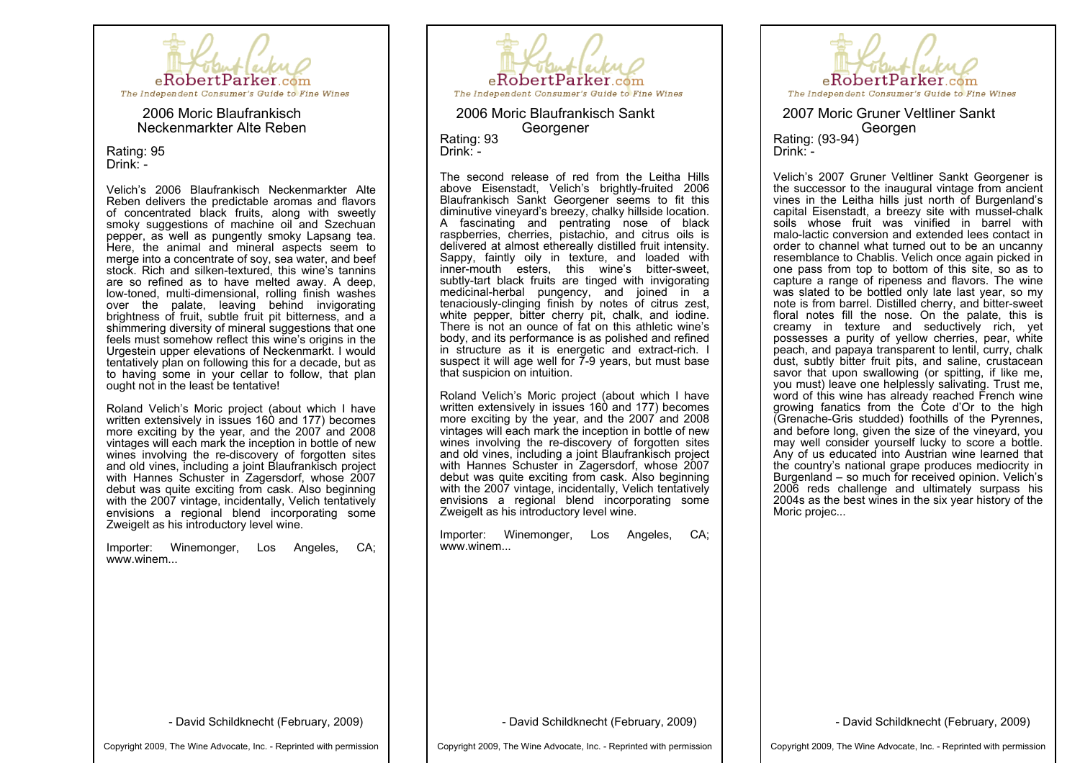

2006 Moric Blaufrankisch Neckenmarkter Alte Reben

Rating: 95 Drink: -

Velich's 2006 Blaufrankisch Neckenmarkter Alte Reben delivers the predictable aromas and flavors of concentrated black fruits, along with sweetly smoky suggestions of machine oil and Szechuan pepper, as well as pungently smoky Lapsang tea. Here, the animal and mineral aspects seem to merge into a concentrate of soy, sea water, and beef stock. Rich and silken-textured, this wine's tannins are so refined as to have melted away. A deep, low-toned, multi-dimensional, rolling finish washes over the palate, leaving behind invigorating brightness of fruit, subtle fruit pit bitterness, and a shimmering diversity of mineral suggestions that one feels must somehow reflect this wine's origins in the Urgestein upper elevations of Neckenmarkt. I would tentatively plan on following this for a decade, but as to having some in your cellar to follow, that plan ought not in the least be tentative!

Roland Velich's Moric project (about which I have written extensively in issues 160 and 177) becomes more exciting by the year, and the 2007 and 2008 vintages will each mark the inception in bottle of new wines involving the re-discovery of forgotten sites and old vines, including a joint Blaufrankisch project with Hannes Schuster in Zagersdorf, whose 2007 debut was quite exciting from cask. Also beginning with the 2007 vintage, incidentally, Velich tentatively envisions a regional blend incorporating some Zweigelt as his introductory level wine.

Importer: Winemonger, Los Angeles, CA; www.winem...



2006 Moric Blaufrankisch Sankt Georgener Rating: 93 Drink: -

The second release of red from the Leitha Hills above Eisenstadt, Velich's brightly-fruited 2006 Blaufrankisch Sankt Georgener seems to fit this diminutive vineyard's breezy, chalky hillside location. A fascinating and pentrating nose of black raspberries, cherries, pistachio, and citrus oils is delivered at almost ethereally distilled fruit intensity. Sappy, faintly oily in texture, and loaded with inner-mouth esters, this wine's bitter-sweet, subtly-tart black fruits are tinged with invigorating medicinal-herbal pungency, and joined in a tenaciously-clinging finish by notes of citrus zest, white pepper, bitter cherry pit, chalk, and iodine. There is not an ounce of fat on this athletic wine's body, and its performance is as polished and refined in structure as it is energetic and extract-rich. I suspect it will age well for  $\overline{7}$ -9 years, but must base that suspicion on intuition.

Roland Velich's Moric project (about which I have written extensively in issues 160 and 177) becomes more exciting by the year, and the 2007 and 2008 vintages will each mark the inception in bottle of new wines involving the re-discovery of forgotten sites and old vines, including a joint Blaufrankisch project with Hannes Schuster in Zagersdorf, whose 2007 debut was quite exciting from cask. Also beginning with the 2007 vintage, incidentally, Velich tentatively envisions a regional blend incorporating some Zweigelt as his introductory level wine.

Importer: Winemonger, Los Angeles, CA; www.winem...



2007 Moric Gruner Veltliner Sankt Rating: (93-94) Drink: -

Velich's 2007 Gruner Veltliner Sankt Georgener is the successor to the inaugural vintage from ancient vines in the Leitha hills just north of Burgenland's capital Eisenstadt, a breezy site with mussel-chalk soils whose fruit was vinified in barrel with malo-lactic conversion and extended lees contact in order to channel what turned out to be an uncanny resemblance to Chablis. Velich once again picked in one pass from top to bottom of this site, so as to capture a range of ripeness and flavors. The wine was slated to be bottled only late last year, so my note is from barrel. Distilled cherry, and bitter-sweet floral notes fill the nose. On the palate, this is creamy in texture and seductively rich, yet possesses a purity of yellow cherries, pear, white peach, and papaya transparent to lentil, curry, chalk dust, subtly bitter fruit pits, and saline, crustacean savor that upon swallowing (or spitting, if like me, you must) leave one helplessly salivating. Trust me, word of this wine has already reached French wine growing fanatics from the Cote d'Or to the high (Grenache-Gris studded) foothills of the Pyrennes, and before long, given the size of the vineyard, you may well consider vourself lucky to score a bottle. Any of us educated into Austrian wine learned that the country's national grape produces mediocrity in Burgenland – so much for received opinion. Velich's 2006 reds challenge and ultimately surpass his 2004s as the best wines in the six year history of the Moric projec...

David Schildknecht (February, 2009)

Copyright 2009, The Wine Advocate, Inc. Reprinted with permission

David Schildknecht (February, 2009)

Copyright 2009, The Wine Advocate, Inc. Reprinted with permission

David Schildknecht (February, 2009)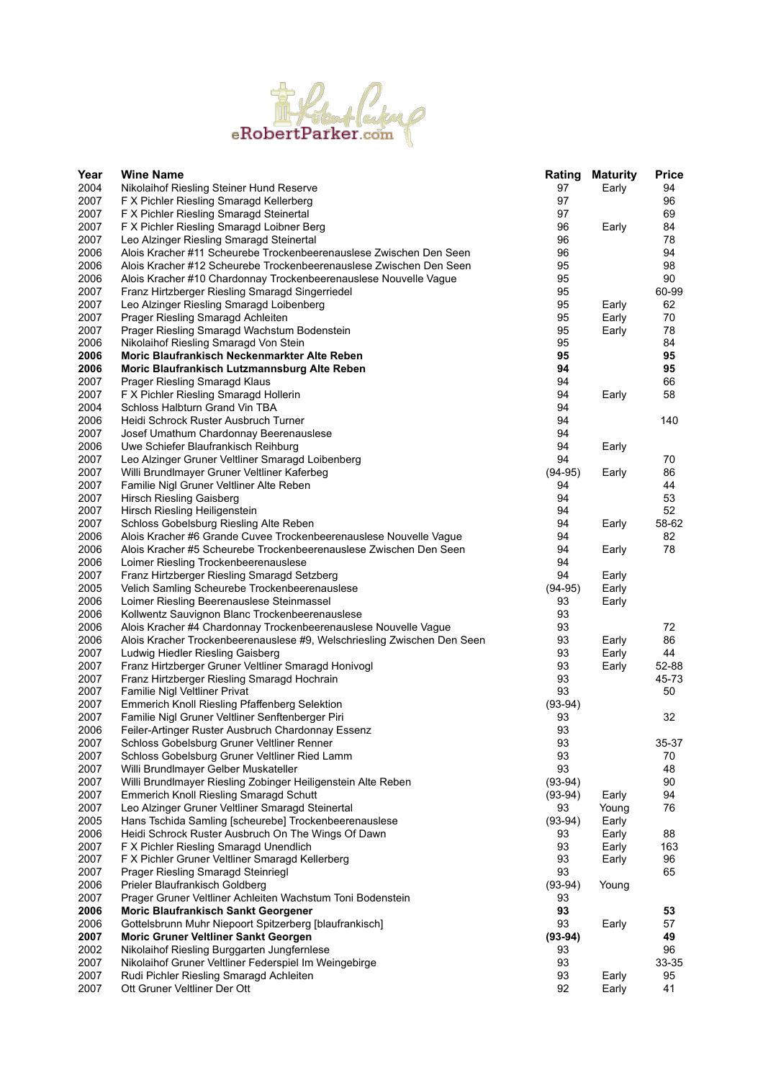

| 2004<br>97<br>94<br>Nikolaihof Riesling Steiner Hund Reserve<br>Early<br>2007<br>97<br>F X Pichler Riesling Smaragd Kellerberg<br>96<br>2007<br>97<br>69<br>F X Pichler Riesling Smaragd Steinertal<br>2007<br>F X Pichler Riesling Smaragd Loibner Berg<br>96<br>84<br>Early<br>2007<br>96<br>Leo Alzinger Riesling Smaragd Steinertal<br>78<br>2006<br>96<br>Alois Kracher #11 Scheurebe Trockenbeerenauslese Zwischen Den Seen<br>94<br>2006<br>95<br>98<br>Alois Kracher #12 Scheurebe Trockenbeerenauslese Zwischen Den Seen<br>95<br>2006<br>Alois Kracher #10 Chardonnay Trockenbeerenauslese Nouvelle Vague<br>90<br>95<br>2007<br>Franz Hirtzberger Riesling Smaragd Singerriedel<br>60-99<br>2007<br>95<br>62<br>Leo Alzinger Riesling Smaragd Loibenberg<br>Early<br>2007<br>Prager Riesling Smaragd Achleiten<br>95<br>70<br>Early<br>2007<br>95<br>Prager Riesling Smaragd Wachstum Bodenstein<br>78<br>Early<br>2006<br>95<br>Nikolaihof Riesling Smaragd Von Stein<br>84<br>95<br>2006<br>95<br>Moric Blaufrankisch Neckenmarkter Alte Reben<br>2006<br>94<br>95<br>Moric Blaufrankisch Lutzmannsburg Alte Reben<br>2007<br>94<br>66<br><b>Prager Riesling Smaragd Klaus</b><br>2007<br>94<br>58<br>F X Pichler Riesling Smaragd Hollerin<br>Early<br>2004<br>Schloss Halbturn Grand Vin TBA<br>94<br>2006<br>94<br>Heidi Schrock Ruster Ausbruch Turner<br>140<br>2007<br>94<br>Josef Umathum Chardonnay Beerenauslese<br>2006<br>94<br>Uwe Schiefer Blaufrankisch Reihburg<br>Early<br>2007<br>94<br>70<br>Leo Alzinger Gruner Veltliner Smaragd Loibenberg<br>2007<br>Willi Brundlmayer Gruner Veltliner Kaferbeg<br>86<br>$(94-95)$<br>Early<br>2007<br>Familie Nigl Gruner Veltliner Alte Reben<br>94<br>44<br>2007<br><b>Hirsch Riesling Gaisberg</b><br>94<br>53<br>2007<br>Hirsch Riesling Heiligenstein<br>94<br>52<br>2007<br>94<br>Early<br>Schloss Gobelsburg Riesling Alte Reben<br>58-62<br>2006<br>94<br>82<br>Alois Kracher #6 Grande Cuvee Trockenbeerenauslese Nouvelle Vague<br>2006<br>Alois Kracher #5 Scheurebe Trockenbeerenauslese Zwischen Den Seen<br>94<br>78<br>Early<br>2006<br>94<br>Loimer Riesling Trockenbeerenauslese<br>2007<br>94<br>Franz Hirtzberger Riesling Smaragd Setzberg<br>Early<br>2005<br>Velich Samling Scheurebe Trockenbeerenauslese<br>$(94-95)$<br>Early<br>2006<br>Loimer Riesling Beerenauslese Steinmassel<br>93<br>Early<br>2006<br>93<br>Kollwentz Sauvignon Blanc Trockenbeerenauslese<br>2006<br>93<br>72<br>Alois Kracher #4 Chardonnay Trockenbeerenauslese Nouvelle Vague<br>2006<br>93<br>86<br>Alois Kracher Trockenbeerenauslese #9, Welschriesling Zwischen Den Seen<br>Early<br>2007<br>93<br>Early<br>44<br>Ludwig Hiedler Riesling Gaisberg<br>2007<br>93<br>Franz Hirtzberger Gruner Veltliner Smaragd Honivogl<br>Early<br>52-88<br>2007<br>93<br>45-73<br>Franz Hirtzberger Riesling Smaragd Hochrain<br>93<br>2007<br>50<br>Familie Nigl Veltliner Privat<br>2007<br>$(93-94)$<br><b>Emmerich Knoll Riesling Pfaffenberg Selektion</b><br>2007<br>Familie Nigl Gruner Veltliner Senftenberger Piri<br>93<br>32<br>2006<br>93<br>Feiler-Artinger Ruster Ausbruch Chardonnay Essenz<br>93<br>2007<br>35-37<br>Schloss Gobelsburg Gruner Veltliner Renner<br>Schloss Gobelsburg Gruner Veltliner Ried Lamm<br>93<br>2007<br>70<br>93<br>2007<br>Willi Brundlmayer Gelber Muskateller<br>48<br>2007<br>Willi Brundlmayer Riesling Zobinger Heiligenstein Alte Reben<br>$(93-94)$<br>90<br>2007<br><b>Emmerich Knoll Riesling Smaragd Schutt</b><br>$(93-94)$<br>94<br>Early<br>2007<br>Leo Alzinger Gruner Veltliner Smaragd Steinertal<br>93<br>76<br>Young<br>2005<br>$(93-94)$<br>Hans Tschida Samling [scheurebe] Trockenbeerenauslese<br>Early<br>2006<br>Heidi Schrock Ruster Ausbruch On The Wings Of Dawn<br>93<br>Early<br>88<br>2007<br>93<br>F X Pichler Riesling Smaragd Unendlich<br>Early<br>163<br>2007<br>93<br>F X Pichler Gruner Veltliner Smaragd Kellerberg<br>Early<br>96<br>2007<br>93<br>65<br><b>Prager Riesling Smaragd Steinriegl</b><br>2006<br>Prieler Blaufrankisch Goldberg<br>$(93-94)$<br>Young<br>2007<br>Prager Gruner Veltliner Achleiten Wachstum Toni Bodenstein<br>93<br>93<br>2006<br>53<br><b>Moric Blaufrankisch Sankt Georgener</b><br>2006<br>93<br>57<br>Gottelsbrunn Muhr Niepoort Spitzerberg [blaufrankisch]<br>Early<br>2007<br>49<br><b>Moric Gruner Veltliner Sankt Georgen</b><br>$(93-94)$<br>2002<br>Nikolaihof Riesling Burggarten Jungfernlese<br>93<br>96<br>2007<br>93<br>Nikolaihof Gruner Veltliner Federspiel Im Weingebirge<br>33-35<br>2007<br>Rudi Pichler Riesling Smaragd Achleiten<br>93<br>95<br>Early<br>2007<br>Ott Gruner Veltliner Der Ott<br>92<br>41<br>Early | Year | <b>Wine Name</b> | Rating | Maturity | <b>Price</b> |
|----------------------------------------------------------------------------------------------------------------------------------------------------------------------------------------------------------------------------------------------------------------------------------------------------------------------------------------------------------------------------------------------------------------------------------------------------------------------------------------------------------------------------------------------------------------------------------------------------------------------------------------------------------------------------------------------------------------------------------------------------------------------------------------------------------------------------------------------------------------------------------------------------------------------------------------------------------------------------------------------------------------------------------------------------------------------------------------------------------------------------------------------------------------------------------------------------------------------------------------------------------------------------------------------------------------------------------------------------------------------------------------------------------------------------------------------------------------------------------------------------------------------------------------------------------------------------------------------------------------------------------------------------------------------------------------------------------------------------------------------------------------------------------------------------------------------------------------------------------------------------------------------------------------------------------------------------------------------------------------------------------------------------------------------------------------------------------------------------------------------------------------------------------------------------------------------------------------------------------------------------------------------------------------------------------------------------------------------------------------------------------------------------------------------------------------------------------------------------------------------------------------------------------------------------------------------------------------------------------------------------------------------------------------------------------------------------------------------------------------------------------------------------------------------------------------------------------------------------------------------------------------------------------------------------------------------------------------------------------------------------------------------------------------------------------------------------------------------------------------------------------------------------------------------------------------------------------------------------------------------------------------------------------------------------------------------------------------------------------------------------------------------------------------------------------------------------------------------------------------------------------------------------------------------------------------------------------------------------------------------------------------------------------------------------------------------------------------------------------------------------------------------------------------------------------------------------------------------------------------------------------------------------------------------------------------------------------------------------------------------------------------------------------------------------------------------------------------------------------------------------------------------------------------------------------------------------------------------------------------------------------------------------------------------------------------------------------------------------------------------------------------------------------------------------------------------------------------------------------------------------------------------------------------------------------------------------------------------------------------------------------------------------------------------------------------------------------------------------|------|------------------|--------|----------|--------------|
|                                                                                                                                                                                                                                                                                                                                                                                                                                                                                                                                                                                                                                                                                                                                                                                                                                                                                                                                                                                                                                                                                                                                                                                                                                                                                                                                                                                                                                                                                                                                                                                                                                                                                                                                                                                                                                                                                                                                                                                                                                                                                                                                                                                                                                                                                                                                                                                                                                                                                                                                                                                                                                                                                                                                                                                                                                                                                                                                                                                                                                                                                                                                                                                                                                                                                                                                                                                                                                                                                                                                                                                                                                                                                                                                                                                                                                                                                                                                                                                                                                                                                                                                                                                                                                                                                                                                                                                                                                                                                                                                                                                                                                                                                                                            |      |                  |        |          |              |
|                                                                                                                                                                                                                                                                                                                                                                                                                                                                                                                                                                                                                                                                                                                                                                                                                                                                                                                                                                                                                                                                                                                                                                                                                                                                                                                                                                                                                                                                                                                                                                                                                                                                                                                                                                                                                                                                                                                                                                                                                                                                                                                                                                                                                                                                                                                                                                                                                                                                                                                                                                                                                                                                                                                                                                                                                                                                                                                                                                                                                                                                                                                                                                                                                                                                                                                                                                                                                                                                                                                                                                                                                                                                                                                                                                                                                                                                                                                                                                                                                                                                                                                                                                                                                                                                                                                                                                                                                                                                                                                                                                                                                                                                                                                            |      |                  |        |          |              |
|                                                                                                                                                                                                                                                                                                                                                                                                                                                                                                                                                                                                                                                                                                                                                                                                                                                                                                                                                                                                                                                                                                                                                                                                                                                                                                                                                                                                                                                                                                                                                                                                                                                                                                                                                                                                                                                                                                                                                                                                                                                                                                                                                                                                                                                                                                                                                                                                                                                                                                                                                                                                                                                                                                                                                                                                                                                                                                                                                                                                                                                                                                                                                                                                                                                                                                                                                                                                                                                                                                                                                                                                                                                                                                                                                                                                                                                                                                                                                                                                                                                                                                                                                                                                                                                                                                                                                                                                                                                                                                                                                                                                                                                                                                                            |      |                  |        |          |              |
|                                                                                                                                                                                                                                                                                                                                                                                                                                                                                                                                                                                                                                                                                                                                                                                                                                                                                                                                                                                                                                                                                                                                                                                                                                                                                                                                                                                                                                                                                                                                                                                                                                                                                                                                                                                                                                                                                                                                                                                                                                                                                                                                                                                                                                                                                                                                                                                                                                                                                                                                                                                                                                                                                                                                                                                                                                                                                                                                                                                                                                                                                                                                                                                                                                                                                                                                                                                                                                                                                                                                                                                                                                                                                                                                                                                                                                                                                                                                                                                                                                                                                                                                                                                                                                                                                                                                                                                                                                                                                                                                                                                                                                                                                                                            |      |                  |        |          |              |
|                                                                                                                                                                                                                                                                                                                                                                                                                                                                                                                                                                                                                                                                                                                                                                                                                                                                                                                                                                                                                                                                                                                                                                                                                                                                                                                                                                                                                                                                                                                                                                                                                                                                                                                                                                                                                                                                                                                                                                                                                                                                                                                                                                                                                                                                                                                                                                                                                                                                                                                                                                                                                                                                                                                                                                                                                                                                                                                                                                                                                                                                                                                                                                                                                                                                                                                                                                                                                                                                                                                                                                                                                                                                                                                                                                                                                                                                                                                                                                                                                                                                                                                                                                                                                                                                                                                                                                                                                                                                                                                                                                                                                                                                                                                            |      |                  |        |          |              |
|                                                                                                                                                                                                                                                                                                                                                                                                                                                                                                                                                                                                                                                                                                                                                                                                                                                                                                                                                                                                                                                                                                                                                                                                                                                                                                                                                                                                                                                                                                                                                                                                                                                                                                                                                                                                                                                                                                                                                                                                                                                                                                                                                                                                                                                                                                                                                                                                                                                                                                                                                                                                                                                                                                                                                                                                                                                                                                                                                                                                                                                                                                                                                                                                                                                                                                                                                                                                                                                                                                                                                                                                                                                                                                                                                                                                                                                                                                                                                                                                                                                                                                                                                                                                                                                                                                                                                                                                                                                                                                                                                                                                                                                                                                                            |      |                  |        |          |              |
|                                                                                                                                                                                                                                                                                                                                                                                                                                                                                                                                                                                                                                                                                                                                                                                                                                                                                                                                                                                                                                                                                                                                                                                                                                                                                                                                                                                                                                                                                                                                                                                                                                                                                                                                                                                                                                                                                                                                                                                                                                                                                                                                                                                                                                                                                                                                                                                                                                                                                                                                                                                                                                                                                                                                                                                                                                                                                                                                                                                                                                                                                                                                                                                                                                                                                                                                                                                                                                                                                                                                                                                                                                                                                                                                                                                                                                                                                                                                                                                                                                                                                                                                                                                                                                                                                                                                                                                                                                                                                                                                                                                                                                                                                                                            |      |                  |        |          |              |
|                                                                                                                                                                                                                                                                                                                                                                                                                                                                                                                                                                                                                                                                                                                                                                                                                                                                                                                                                                                                                                                                                                                                                                                                                                                                                                                                                                                                                                                                                                                                                                                                                                                                                                                                                                                                                                                                                                                                                                                                                                                                                                                                                                                                                                                                                                                                                                                                                                                                                                                                                                                                                                                                                                                                                                                                                                                                                                                                                                                                                                                                                                                                                                                                                                                                                                                                                                                                                                                                                                                                                                                                                                                                                                                                                                                                                                                                                                                                                                                                                                                                                                                                                                                                                                                                                                                                                                                                                                                                                                                                                                                                                                                                                                                            |      |                  |        |          |              |
|                                                                                                                                                                                                                                                                                                                                                                                                                                                                                                                                                                                                                                                                                                                                                                                                                                                                                                                                                                                                                                                                                                                                                                                                                                                                                                                                                                                                                                                                                                                                                                                                                                                                                                                                                                                                                                                                                                                                                                                                                                                                                                                                                                                                                                                                                                                                                                                                                                                                                                                                                                                                                                                                                                                                                                                                                                                                                                                                                                                                                                                                                                                                                                                                                                                                                                                                                                                                                                                                                                                                                                                                                                                                                                                                                                                                                                                                                                                                                                                                                                                                                                                                                                                                                                                                                                                                                                                                                                                                                                                                                                                                                                                                                                                            |      |                  |        |          |              |
|                                                                                                                                                                                                                                                                                                                                                                                                                                                                                                                                                                                                                                                                                                                                                                                                                                                                                                                                                                                                                                                                                                                                                                                                                                                                                                                                                                                                                                                                                                                                                                                                                                                                                                                                                                                                                                                                                                                                                                                                                                                                                                                                                                                                                                                                                                                                                                                                                                                                                                                                                                                                                                                                                                                                                                                                                                                                                                                                                                                                                                                                                                                                                                                                                                                                                                                                                                                                                                                                                                                                                                                                                                                                                                                                                                                                                                                                                                                                                                                                                                                                                                                                                                                                                                                                                                                                                                                                                                                                                                                                                                                                                                                                                                                            |      |                  |        |          |              |
|                                                                                                                                                                                                                                                                                                                                                                                                                                                                                                                                                                                                                                                                                                                                                                                                                                                                                                                                                                                                                                                                                                                                                                                                                                                                                                                                                                                                                                                                                                                                                                                                                                                                                                                                                                                                                                                                                                                                                                                                                                                                                                                                                                                                                                                                                                                                                                                                                                                                                                                                                                                                                                                                                                                                                                                                                                                                                                                                                                                                                                                                                                                                                                                                                                                                                                                                                                                                                                                                                                                                                                                                                                                                                                                                                                                                                                                                                                                                                                                                                                                                                                                                                                                                                                                                                                                                                                                                                                                                                                                                                                                                                                                                                                                            |      |                  |        |          |              |
|                                                                                                                                                                                                                                                                                                                                                                                                                                                                                                                                                                                                                                                                                                                                                                                                                                                                                                                                                                                                                                                                                                                                                                                                                                                                                                                                                                                                                                                                                                                                                                                                                                                                                                                                                                                                                                                                                                                                                                                                                                                                                                                                                                                                                                                                                                                                                                                                                                                                                                                                                                                                                                                                                                                                                                                                                                                                                                                                                                                                                                                                                                                                                                                                                                                                                                                                                                                                                                                                                                                                                                                                                                                                                                                                                                                                                                                                                                                                                                                                                                                                                                                                                                                                                                                                                                                                                                                                                                                                                                                                                                                                                                                                                                                            |      |                  |        |          |              |
|                                                                                                                                                                                                                                                                                                                                                                                                                                                                                                                                                                                                                                                                                                                                                                                                                                                                                                                                                                                                                                                                                                                                                                                                                                                                                                                                                                                                                                                                                                                                                                                                                                                                                                                                                                                                                                                                                                                                                                                                                                                                                                                                                                                                                                                                                                                                                                                                                                                                                                                                                                                                                                                                                                                                                                                                                                                                                                                                                                                                                                                                                                                                                                                                                                                                                                                                                                                                                                                                                                                                                                                                                                                                                                                                                                                                                                                                                                                                                                                                                                                                                                                                                                                                                                                                                                                                                                                                                                                                                                                                                                                                                                                                                                                            |      |                  |        |          |              |
|                                                                                                                                                                                                                                                                                                                                                                                                                                                                                                                                                                                                                                                                                                                                                                                                                                                                                                                                                                                                                                                                                                                                                                                                                                                                                                                                                                                                                                                                                                                                                                                                                                                                                                                                                                                                                                                                                                                                                                                                                                                                                                                                                                                                                                                                                                                                                                                                                                                                                                                                                                                                                                                                                                                                                                                                                                                                                                                                                                                                                                                                                                                                                                                                                                                                                                                                                                                                                                                                                                                                                                                                                                                                                                                                                                                                                                                                                                                                                                                                                                                                                                                                                                                                                                                                                                                                                                                                                                                                                                                                                                                                                                                                                                                            |      |                  |        |          |              |
|                                                                                                                                                                                                                                                                                                                                                                                                                                                                                                                                                                                                                                                                                                                                                                                                                                                                                                                                                                                                                                                                                                                                                                                                                                                                                                                                                                                                                                                                                                                                                                                                                                                                                                                                                                                                                                                                                                                                                                                                                                                                                                                                                                                                                                                                                                                                                                                                                                                                                                                                                                                                                                                                                                                                                                                                                                                                                                                                                                                                                                                                                                                                                                                                                                                                                                                                                                                                                                                                                                                                                                                                                                                                                                                                                                                                                                                                                                                                                                                                                                                                                                                                                                                                                                                                                                                                                                                                                                                                                                                                                                                                                                                                                                                            |      |                  |        |          |              |
|                                                                                                                                                                                                                                                                                                                                                                                                                                                                                                                                                                                                                                                                                                                                                                                                                                                                                                                                                                                                                                                                                                                                                                                                                                                                                                                                                                                                                                                                                                                                                                                                                                                                                                                                                                                                                                                                                                                                                                                                                                                                                                                                                                                                                                                                                                                                                                                                                                                                                                                                                                                                                                                                                                                                                                                                                                                                                                                                                                                                                                                                                                                                                                                                                                                                                                                                                                                                                                                                                                                                                                                                                                                                                                                                                                                                                                                                                                                                                                                                                                                                                                                                                                                                                                                                                                                                                                                                                                                                                                                                                                                                                                                                                                                            |      |                  |        |          |              |
|                                                                                                                                                                                                                                                                                                                                                                                                                                                                                                                                                                                                                                                                                                                                                                                                                                                                                                                                                                                                                                                                                                                                                                                                                                                                                                                                                                                                                                                                                                                                                                                                                                                                                                                                                                                                                                                                                                                                                                                                                                                                                                                                                                                                                                                                                                                                                                                                                                                                                                                                                                                                                                                                                                                                                                                                                                                                                                                                                                                                                                                                                                                                                                                                                                                                                                                                                                                                                                                                                                                                                                                                                                                                                                                                                                                                                                                                                                                                                                                                                                                                                                                                                                                                                                                                                                                                                                                                                                                                                                                                                                                                                                                                                                                            |      |                  |        |          |              |
|                                                                                                                                                                                                                                                                                                                                                                                                                                                                                                                                                                                                                                                                                                                                                                                                                                                                                                                                                                                                                                                                                                                                                                                                                                                                                                                                                                                                                                                                                                                                                                                                                                                                                                                                                                                                                                                                                                                                                                                                                                                                                                                                                                                                                                                                                                                                                                                                                                                                                                                                                                                                                                                                                                                                                                                                                                                                                                                                                                                                                                                                                                                                                                                                                                                                                                                                                                                                                                                                                                                                                                                                                                                                                                                                                                                                                                                                                                                                                                                                                                                                                                                                                                                                                                                                                                                                                                                                                                                                                                                                                                                                                                                                                                                            |      |                  |        |          |              |
|                                                                                                                                                                                                                                                                                                                                                                                                                                                                                                                                                                                                                                                                                                                                                                                                                                                                                                                                                                                                                                                                                                                                                                                                                                                                                                                                                                                                                                                                                                                                                                                                                                                                                                                                                                                                                                                                                                                                                                                                                                                                                                                                                                                                                                                                                                                                                                                                                                                                                                                                                                                                                                                                                                                                                                                                                                                                                                                                                                                                                                                                                                                                                                                                                                                                                                                                                                                                                                                                                                                                                                                                                                                                                                                                                                                                                                                                                                                                                                                                                                                                                                                                                                                                                                                                                                                                                                                                                                                                                                                                                                                                                                                                                                                            |      |                  |        |          |              |
|                                                                                                                                                                                                                                                                                                                                                                                                                                                                                                                                                                                                                                                                                                                                                                                                                                                                                                                                                                                                                                                                                                                                                                                                                                                                                                                                                                                                                                                                                                                                                                                                                                                                                                                                                                                                                                                                                                                                                                                                                                                                                                                                                                                                                                                                                                                                                                                                                                                                                                                                                                                                                                                                                                                                                                                                                                                                                                                                                                                                                                                                                                                                                                                                                                                                                                                                                                                                                                                                                                                                                                                                                                                                                                                                                                                                                                                                                                                                                                                                                                                                                                                                                                                                                                                                                                                                                                                                                                                                                                                                                                                                                                                                                                                            |      |                  |        |          |              |
|                                                                                                                                                                                                                                                                                                                                                                                                                                                                                                                                                                                                                                                                                                                                                                                                                                                                                                                                                                                                                                                                                                                                                                                                                                                                                                                                                                                                                                                                                                                                                                                                                                                                                                                                                                                                                                                                                                                                                                                                                                                                                                                                                                                                                                                                                                                                                                                                                                                                                                                                                                                                                                                                                                                                                                                                                                                                                                                                                                                                                                                                                                                                                                                                                                                                                                                                                                                                                                                                                                                                                                                                                                                                                                                                                                                                                                                                                                                                                                                                                                                                                                                                                                                                                                                                                                                                                                                                                                                                                                                                                                                                                                                                                                                            |      |                  |        |          |              |
|                                                                                                                                                                                                                                                                                                                                                                                                                                                                                                                                                                                                                                                                                                                                                                                                                                                                                                                                                                                                                                                                                                                                                                                                                                                                                                                                                                                                                                                                                                                                                                                                                                                                                                                                                                                                                                                                                                                                                                                                                                                                                                                                                                                                                                                                                                                                                                                                                                                                                                                                                                                                                                                                                                                                                                                                                                                                                                                                                                                                                                                                                                                                                                                                                                                                                                                                                                                                                                                                                                                                                                                                                                                                                                                                                                                                                                                                                                                                                                                                                                                                                                                                                                                                                                                                                                                                                                                                                                                                                                                                                                                                                                                                                                                            |      |                  |        |          |              |
|                                                                                                                                                                                                                                                                                                                                                                                                                                                                                                                                                                                                                                                                                                                                                                                                                                                                                                                                                                                                                                                                                                                                                                                                                                                                                                                                                                                                                                                                                                                                                                                                                                                                                                                                                                                                                                                                                                                                                                                                                                                                                                                                                                                                                                                                                                                                                                                                                                                                                                                                                                                                                                                                                                                                                                                                                                                                                                                                                                                                                                                                                                                                                                                                                                                                                                                                                                                                                                                                                                                                                                                                                                                                                                                                                                                                                                                                                                                                                                                                                                                                                                                                                                                                                                                                                                                                                                                                                                                                                                                                                                                                                                                                                                                            |      |                  |        |          |              |
|                                                                                                                                                                                                                                                                                                                                                                                                                                                                                                                                                                                                                                                                                                                                                                                                                                                                                                                                                                                                                                                                                                                                                                                                                                                                                                                                                                                                                                                                                                                                                                                                                                                                                                                                                                                                                                                                                                                                                                                                                                                                                                                                                                                                                                                                                                                                                                                                                                                                                                                                                                                                                                                                                                                                                                                                                                                                                                                                                                                                                                                                                                                                                                                                                                                                                                                                                                                                                                                                                                                                                                                                                                                                                                                                                                                                                                                                                                                                                                                                                                                                                                                                                                                                                                                                                                                                                                                                                                                                                                                                                                                                                                                                                                                            |      |                  |        |          |              |
|                                                                                                                                                                                                                                                                                                                                                                                                                                                                                                                                                                                                                                                                                                                                                                                                                                                                                                                                                                                                                                                                                                                                                                                                                                                                                                                                                                                                                                                                                                                                                                                                                                                                                                                                                                                                                                                                                                                                                                                                                                                                                                                                                                                                                                                                                                                                                                                                                                                                                                                                                                                                                                                                                                                                                                                                                                                                                                                                                                                                                                                                                                                                                                                                                                                                                                                                                                                                                                                                                                                                                                                                                                                                                                                                                                                                                                                                                                                                                                                                                                                                                                                                                                                                                                                                                                                                                                                                                                                                                                                                                                                                                                                                                                                            |      |                  |        |          |              |
|                                                                                                                                                                                                                                                                                                                                                                                                                                                                                                                                                                                                                                                                                                                                                                                                                                                                                                                                                                                                                                                                                                                                                                                                                                                                                                                                                                                                                                                                                                                                                                                                                                                                                                                                                                                                                                                                                                                                                                                                                                                                                                                                                                                                                                                                                                                                                                                                                                                                                                                                                                                                                                                                                                                                                                                                                                                                                                                                                                                                                                                                                                                                                                                                                                                                                                                                                                                                                                                                                                                                                                                                                                                                                                                                                                                                                                                                                                                                                                                                                                                                                                                                                                                                                                                                                                                                                                                                                                                                                                                                                                                                                                                                                                                            |      |                  |        |          |              |
|                                                                                                                                                                                                                                                                                                                                                                                                                                                                                                                                                                                                                                                                                                                                                                                                                                                                                                                                                                                                                                                                                                                                                                                                                                                                                                                                                                                                                                                                                                                                                                                                                                                                                                                                                                                                                                                                                                                                                                                                                                                                                                                                                                                                                                                                                                                                                                                                                                                                                                                                                                                                                                                                                                                                                                                                                                                                                                                                                                                                                                                                                                                                                                                                                                                                                                                                                                                                                                                                                                                                                                                                                                                                                                                                                                                                                                                                                                                                                                                                                                                                                                                                                                                                                                                                                                                                                                                                                                                                                                                                                                                                                                                                                                                            |      |                  |        |          |              |
|                                                                                                                                                                                                                                                                                                                                                                                                                                                                                                                                                                                                                                                                                                                                                                                                                                                                                                                                                                                                                                                                                                                                                                                                                                                                                                                                                                                                                                                                                                                                                                                                                                                                                                                                                                                                                                                                                                                                                                                                                                                                                                                                                                                                                                                                                                                                                                                                                                                                                                                                                                                                                                                                                                                                                                                                                                                                                                                                                                                                                                                                                                                                                                                                                                                                                                                                                                                                                                                                                                                                                                                                                                                                                                                                                                                                                                                                                                                                                                                                                                                                                                                                                                                                                                                                                                                                                                                                                                                                                                                                                                                                                                                                                                                            |      |                  |        |          |              |
|                                                                                                                                                                                                                                                                                                                                                                                                                                                                                                                                                                                                                                                                                                                                                                                                                                                                                                                                                                                                                                                                                                                                                                                                                                                                                                                                                                                                                                                                                                                                                                                                                                                                                                                                                                                                                                                                                                                                                                                                                                                                                                                                                                                                                                                                                                                                                                                                                                                                                                                                                                                                                                                                                                                                                                                                                                                                                                                                                                                                                                                                                                                                                                                                                                                                                                                                                                                                                                                                                                                                                                                                                                                                                                                                                                                                                                                                                                                                                                                                                                                                                                                                                                                                                                                                                                                                                                                                                                                                                                                                                                                                                                                                                                                            |      |                  |        |          |              |
|                                                                                                                                                                                                                                                                                                                                                                                                                                                                                                                                                                                                                                                                                                                                                                                                                                                                                                                                                                                                                                                                                                                                                                                                                                                                                                                                                                                                                                                                                                                                                                                                                                                                                                                                                                                                                                                                                                                                                                                                                                                                                                                                                                                                                                                                                                                                                                                                                                                                                                                                                                                                                                                                                                                                                                                                                                                                                                                                                                                                                                                                                                                                                                                                                                                                                                                                                                                                                                                                                                                                                                                                                                                                                                                                                                                                                                                                                                                                                                                                                                                                                                                                                                                                                                                                                                                                                                                                                                                                                                                                                                                                                                                                                                                            |      |                  |        |          |              |
|                                                                                                                                                                                                                                                                                                                                                                                                                                                                                                                                                                                                                                                                                                                                                                                                                                                                                                                                                                                                                                                                                                                                                                                                                                                                                                                                                                                                                                                                                                                                                                                                                                                                                                                                                                                                                                                                                                                                                                                                                                                                                                                                                                                                                                                                                                                                                                                                                                                                                                                                                                                                                                                                                                                                                                                                                                                                                                                                                                                                                                                                                                                                                                                                                                                                                                                                                                                                                                                                                                                                                                                                                                                                                                                                                                                                                                                                                                                                                                                                                                                                                                                                                                                                                                                                                                                                                                                                                                                                                                                                                                                                                                                                                                                            |      |                  |        |          |              |
|                                                                                                                                                                                                                                                                                                                                                                                                                                                                                                                                                                                                                                                                                                                                                                                                                                                                                                                                                                                                                                                                                                                                                                                                                                                                                                                                                                                                                                                                                                                                                                                                                                                                                                                                                                                                                                                                                                                                                                                                                                                                                                                                                                                                                                                                                                                                                                                                                                                                                                                                                                                                                                                                                                                                                                                                                                                                                                                                                                                                                                                                                                                                                                                                                                                                                                                                                                                                                                                                                                                                                                                                                                                                                                                                                                                                                                                                                                                                                                                                                                                                                                                                                                                                                                                                                                                                                                                                                                                                                                                                                                                                                                                                                                                            |      |                  |        |          |              |
|                                                                                                                                                                                                                                                                                                                                                                                                                                                                                                                                                                                                                                                                                                                                                                                                                                                                                                                                                                                                                                                                                                                                                                                                                                                                                                                                                                                                                                                                                                                                                                                                                                                                                                                                                                                                                                                                                                                                                                                                                                                                                                                                                                                                                                                                                                                                                                                                                                                                                                                                                                                                                                                                                                                                                                                                                                                                                                                                                                                                                                                                                                                                                                                                                                                                                                                                                                                                                                                                                                                                                                                                                                                                                                                                                                                                                                                                                                                                                                                                                                                                                                                                                                                                                                                                                                                                                                                                                                                                                                                                                                                                                                                                                                                            |      |                  |        |          |              |
|                                                                                                                                                                                                                                                                                                                                                                                                                                                                                                                                                                                                                                                                                                                                                                                                                                                                                                                                                                                                                                                                                                                                                                                                                                                                                                                                                                                                                                                                                                                                                                                                                                                                                                                                                                                                                                                                                                                                                                                                                                                                                                                                                                                                                                                                                                                                                                                                                                                                                                                                                                                                                                                                                                                                                                                                                                                                                                                                                                                                                                                                                                                                                                                                                                                                                                                                                                                                                                                                                                                                                                                                                                                                                                                                                                                                                                                                                                                                                                                                                                                                                                                                                                                                                                                                                                                                                                                                                                                                                                                                                                                                                                                                                                                            |      |                  |        |          |              |
|                                                                                                                                                                                                                                                                                                                                                                                                                                                                                                                                                                                                                                                                                                                                                                                                                                                                                                                                                                                                                                                                                                                                                                                                                                                                                                                                                                                                                                                                                                                                                                                                                                                                                                                                                                                                                                                                                                                                                                                                                                                                                                                                                                                                                                                                                                                                                                                                                                                                                                                                                                                                                                                                                                                                                                                                                                                                                                                                                                                                                                                                                                                                                                                                                                                                                                                                                                                                                                                                                                                                                                                                                                                                                                                                                                                                                                                                                                                                                                                                                                                                                                                                                                                                                                                                                                                                                                                                                                                                                                                                                                                                                                                                                                                            |      |                  |        |          |              |
|                                                                                                                                                                                                                                                                                                                                                                                                                                                                                                                                                                                                                                                                                                                                                                                                                                                                                                                                                                                                                                                                                                                                                                                                                                                                                                                                                                                                                                                                                                                                                                                                                                                                                                                                                                                                                                                                                                                                                                                                                                                                                                                                                                                                                                                                                                                                                                                                                                                                                                                                                                                                                                                                                                                                                                                                                                                                                                                                                                                                                                                                                                                                                                                                                                                                                                                                                                                                                                                                                                                                                                                                                                                                                                                                                                                                                                                                                                                                                                                                                                                                                                                                                                                                                                                                                                                                                                                                                                                                                                                                                                                                                                                                                                                            |      |                  |        |          |              |
|                                                                                                                                                                                                                                                                                                                                                                                                                                                                                                                                                                                                                                                                                                                                                                                                                                                                                                                                                                                                                                                                                                                                                                                                                                                                                                                                                                                                                                                                                                                                                                                                                                                                                                                                                                                                                                                                                                                                                                                                                                                                                                                                                                                                                                                                                                                                                                                                                                                                                                                                                                                                                                                                                                                                                                                                                                                                                                                                                                                                                                                                                                                                                                                                                                                                                                                                                                                                                                                                                                                                                                                                                                                                                                                                                                                                                                                                                                                                                                                                                                                                                                                                                                                                                                                                                                                                                                                                                                                                                                                                                                                                                                                                                                                            |      |                  |        |          |              |
|                                                                                                                                                                                                                                                                                                                                                                                                                                                                                                                                                                                                                                                                                                                                                                                                                                                                                                                                                                                                                                                                                                                                                                                                                                                                                                                                                                                                                                                                                                                                                                                                                                                                                                                                                                                                                                                                                                                                                                                                                                                                                                                                                                                                                                                                                                                                                                                                                                                                                                                                                                                                                                                                                                                                                                                                                                                                                                                                                                                                                                                                                                                                                                                                                                                                                                                                                                                                                                                                                                                                                                                                                                                                                                                                                                                                                                                                                                                                                                                                                                                                                                                                                                                                                                                                                                                                                                                                                                                                                                                                                                                                                                                                                                                            |      |                  |        |          |              |
|                                                                                                                                                                                                                                                                                                                                                                                                                                                                                                                                                                                                                                                                                                                                                                                                                                                                                                                                                                                                                                                                                                                                                                                                                                                                                                                                                                                                                                                                                                                                                                                                                                                                                                                                                                                                                                                                                                                                                                                                                                                                                                                                                                                                                                                                                                                                                                                                                                                                                                                                                                                                                                                                                                                                                                                                                                                                                                                                                                                                                                                                                                                                                                                                                                                                                                                                                                                                                                                                                                                                                                                                                                                                                                                                                                                                                                                                                                                                                                                                                                                                                                                                                                                                                                                                                                                                                                                                                                                                                                                                                                                                                                                                                                                            |      |                  |        |          |              |
|                                                                                                                                                                                                                                                                                                                                                                                                                                                                                                                                                                                                                                                                                                                                                                                                                                                                                                                                                                                                                                                                                                                                                                                                                                                                                                                                                                                                                                                                                                                                                                                                                                                                                                                                                                                                                                                                                                                                                                                                                                                                                                                                                                                                                                                                                                                                                                                                                                                                                                                                                                                                                                                                                                                                                                                                                                                                                                                                                                                                                                                                                                                                                                                                                                                                                                                                                                                                                                                                                                                                                                                                                                                                                                                                                                                                                                                                                                                                                                                                                                                                                                                                                                                                                                                                                                                                                                                                                                                                                                                                                                                                                                                                                                                            |      |                  |        |          |              |
|                                                                                                                                                                                                                                                                                                                                                                                                                                                                                                                                                                                                                                                                                                                                                                                                                                                                                                                                                                                                                                                                                                                                                                                                                                                                                                                                                                                                                                                                                                                                                                                                                                                                                                                                                                                                                                                                                                                                                                                                                                                                                                                                                                                                                                                                                                                                                                                                                                                                                                                                                                                                                                                                                                                                                                                                                                                                                                                                                                                                                                                                                                                                                                                                                                                                                                                                                                                                                                                                                                                                                                                                                                                                                                                                                                                                                                                                                                                                                                                                                                                                                                                                                                                                                                                                                                                                                                                                                                                                                                                                                                                                                                                                                                                            |      |                  |        |          |              |
|                                                                                                                                                                                                                                                                                                                                                                                                                                                                                                                                                                                                                                                                                                                                                                                                                                                                                                                                                                                                                                                                                                                                                                                                                                                                                                                                                                                                                                                                                                                                                                                                                                                                                                                                                                                                                                                                                                                                                                                                                                                                                                                                                                                                                                                                                                                                                                                                                                                                                                                                                                                                                                                                                                                                                                                                                                                                                                                                                                                                                                                                                                                                                                                                                                                                                                                                                                                                                                                                                                                                                                                                                                                                                                                                                                                                                                                                                                                                                                                                                                                                                                                                                                                                                                                                                                                                                                                                                                                                                                                                                                                                                                                                                                                            |      |                  |        |          |              |
|                                                                                                                                                                                                                                                                                                                                                                                                                                                                                                                                                                                                                                                                                                                                                                                                                                                                                                                                                                                                                                                                                                                                                                                                                                                                                                                                                                                                                                                                                                                                                                                                                                                                                                                                                                                                                                                                                                                                                                                                                                                                                                                                                                                                                                                                                                                                                                                                                                                                                                                                                                                                                                                                                                                                                                                                                                                                                                                                                                                                                                                                                                                                                                                                                                                                                                                                                                                                                                                                                                                                                                                                                                                                                                                                                                                                                                                                                                                                                                                                                                                                                                                                                                                                                                                                                                                                                                                                                                                                                                                                                                                                                                                                                                                            |      |                  |        |          |              |
|                                                                                                                                                                                                                                                                                                                                                                                                                                                                                                                                                                                                                                                                                                                                                                                                                                                                                                                                                                                                                                                                                                                                                                                                                                                                                                                                                                                                                                                                                                                                                                                                                                                                                                                                                                                                                                                                                                                                                                                                                                                                                                                                                                                                                                                                                                                                                                                                                                                                                                                                                                                                                                                                                                                                                                                                                                                                                                                                                                                                                                                                                                                                                                                                                                                                                                                                                                                                                                                                                                                                                                                                                                                                                                                                                                                                                                                                                                                                                                                                                                                                                                                                                                                                                                                                                                                                                                                                                                                                                                                                                                                                                                                                                                                            |      |                  |        |          |              |
|                                                                                                                                                                                                                                                                                                                                                                                                                                                                                                                                                                                                                                                                                                                                                                                                                                                                                                                                                                                                                                                                                                                                                                                                                                                                                                                                                                                                                                                                                                                                                                                                                                                                                                                                                                                                                                                                                                                                                                                                                                                                                                                                                                                                                                                                                                                                                                                                                                                                                                                                                                                                                                                                                                                                                                                                                                                                                                                                                                                                                                                                                                                                                                                                                                                                                                                                                                                                                                                                                                                                                                                                                                                                                                                                                                                                                                                                                                                                                                                                                                                                                                                                                                                                                                                                                                                                                                                                                                                                                                                                                                                                                                                                                                                            |      |                  |        |          |              |
|                                                                                                                                                                                                                                                                                                                                                                                                                                                                                                                                                                                                                                                                                                                                                                                                                                                                                                                                                                                                                                                                                                                                                                                                                                                                                                                                                                                                                                                                                                                                                                                                                                                                                                                                                                                                                                                                                                                                                                                                                                                                                                                                                                                                                                                                                                                                                                                                                                                                                                                                                                                                                                                                                                                                                                                                                                                                                                                                                                                                                                                                                                                                                                                                                                                                                                                                                                                                                                                                                                                                                                                                                                                                                                                                                                                                                                                                                                                                                                                                                                                                                                                                                                                                                                                                                                                                                                                                                                                                                                                                                                                                                                                                                                                            |      |                  |        |          |              |
|                                                                                                                                                                                                                                                                                                                                                                                                                                                                                                                                                                                                                                                                                                                                                                                                                                                                                                                                                                                                                                                                                                                                                                                                                                                                                                                                                                                                                                                                                                                                                                                                                                                                                                                                                                                                                                                                                                                                                                                                                                                                                                                                                                                                                                                                                                                                                                                                                                                                                                                                                                                                                                                                                                                                                                                                                                                                                                                                                                                                                                                                                                                                                                                                                                                                                                                                                                                                                                                                                                                                                                                                                                                                                                                                                                                                                                                                                                                                                                                                                                                                                                                                                                                                                                                                                                                                                                                                                                                                                                                                                                                                                                                                                                                            |      |                  |        |          |              |
|                                                                                                                                                                                                                                                                                                                                                                                                                                                                                                                                                                                                                                                                                                                                                                                                                                                                                                                                                                                                                                                                                                                                                                                                                                                                                                                                                                                                                                                                                                                                                                                                                                                                                                                                                                                                                                                                                                                                                                                                                                                                                                                                                                                                                                                                                                                                                                                                                                                                                                                                                                                                                                                                                                                                                                                                                                                                                                                                                                                                                                                                                                                                                                                                                                                                                                                                                                                                                                                                                                                                                                                                                                                                                                                                                                                                                                                                                                                                                                                                                                                                                                                                                                                                                                                                                                                                                                                                                                                                                                                                                                                                                                                                                                                            |      |                  |        |          |              |
|                                                                                                                                                                                                                                                                                                                                                                                                                                                                                                                                                                                                                                                                                                                                                                                                                                                                                                                                                                                                                                                                                                                                                                                                                                                                                                                                                                                                                                                                                                                                                                                                                                                                                                                                                                                                                                                                                                                                                                                                                                                                                                                                                                                                                                                                                                                                                                                                                                                                                                                                                                                                                                                                                                                                                                                                                                                                                                                                                                                                                                                                                                                                                                                                                                                                                                                                                                                                                                                                                                                                                                                                                                                                                                                                                                                                                                                                                                                                                                                                                                                                                                                                                                                                                                                                                                                                                                                                                                                                                                                                                                                                                                                                                                                            |      |                  |        |          |              |
|                                                                                                                                                                                                                                                                                                                                                                                                                                                                                                                                                                                                                                                                                                                                                                                                                                                                                                                                                                                                                                                                                                                                                                                                                                                                                                                                                                                                                                                                                                                                                                                                                                                                                                                                                                                                                                                                                                                                                                                                                                                                                                                                                                                                                                                                                                                                                                                                                                                                                                                                                                                                                                                                                                                                                                                                                                                                                                                                                                                                                                                                                                                                                                                                                                                                                                                                                                                                                                                                                                                                                                                                                                                                                                                                                                                                                                                                                                                                                                                                                                                                                                                                                                                                                                                                                                                                                                                                                                                                                                                                                                                                                                                                                                                            |      |                  |        |          |              |
|                                                                                                                                                                                                                                                                                                                                                                                                                                                                                                                                                                                                                                                                                                                                                                                                                                                                                                                                                                                                                                                                                                                                                                                                                                                                                                                                                                                                                                                                                                                                                                                                                                                                                                                                                                                                                                                                                                                                                                                                                                                                                                                                                                                                                                                                                                                                                                                                                                                                                                                                                                                                                                                                                                                                                                                                                                                                                                                                                                                                                                                                                                                                                                                                                                                                                                                                                                                                                                                                                                                                                                                                                                                                                                                                                                                                                                                                                                                                                                                                                                                                                                                                                                                                                                                                                                                                                                                                                                                                                                                                                                                                                                                                                                                            |      |                  |        |          |              |
|                                                                                                                                                                                                                                                                                                                                                                                                                                                                                                                                                                                                                                                                                                                                                                                                                                                                                                                                                                                                                                                                                                                                                                                                                                                                                                                                                                                                                                                                                                                                                                                                                                                                                                                                                                                                                                                                                                                                                                                                                                                                                                                                                                                                                                                                                                                                                                                                                                                                                                                                                                                                                                                                                                                                                                                                                                                                                                                                                                                                                                                                                                                                                                                                                                                                                                                                                                                                                                                                                                                                                                                                                                                                                                                                                                                                                                                                                                                                                                                                                                                                                                                                                                                                                                                                                                                                                                                                                                                                                                                                                                                                                                                                                                                            |      |                  |        |          |              |
|                                                                                                                                                                                                                                                                                                                                                                                                                                                                                                                                                                                                                                                                                                                                                                                                                                                                                                                                                                                                                                                                                                                                                                                                                                                                                                                                                                                                                                                                                                                                                                                                                                                                                                                                                                                                                                                                                                                                                                                                                                                                                                                                                                                                                                                                                                                                                                                                                                                                                                                                                                                                                                                                                                                                                                                                                                                                                                                                                                                                                                                                                                                                                                                                                                                                                                                                                                                                                                                                                                                                                                                                                                                                                                                                                                                                                                                                                                                                                                                                                                                                                                                                                                                                                                                                                                                                                                                                                                                                                                                                                                                                                                                                                                                            |      |                  |        |          |              |
|                                                                                                                                                                                                                                                                                                                                                                                                                                                                                                                                                                                                                                                                                                                                                                                                                                                                                                                                                                                                                                                                                                                                                                                                                                                                                                                                                                                                                                                                                                                                                                                                                                                                                                                                                                                                                                                                                                                                                                                                                                                                                                                                                                                                                                                                                                                                                                                                                                                                                                                                                                                                                                                                                                                                                                                                                                                                                                                                                                                                                                                                                                                                                                                                                                                                                                                                                                                                                                                                                                                                                                                                                                                                                                                                                                                                                                                                                                                                                                                                                                                                                                                                                                                                                                                                                                                                                                                                                                                                                                                                                                                                                                                                                                                            |      |                  |        |          |              |
|                                                                                                                                                                                                                                                                                                                                                                                                                                                                                                                                                                                                                                                                                                                                                                                                                                                                                                                                                                                                                                                                                                                                                                                                                                                                                                                                                                                                                                                                                                                                                                                                                                                                                                                                                                                                                                                                                                                                                                                                                                                                                                                                                                                                                                                                                                                                                                                                                                                                                                                                                                                                                                                                                                                                                                                                                                                                                                                                                                                                                                                                                                                                                                                                                                                                                                                                                                                                                                                                                                                                                                                                                                                                                                                                                                                                                                                                                                                                                                                                                                                                                                                                                                                                                                                                                                                                                                                                                                                                                                                                                                                                                                                                                                                            |      |                  |        |          |              |
|                                                                                                                                                                                                                                                                                                                                                                                                                                                                                                                                                                                                                                                                                                                                                                                                                                                                                                                                                                                                                                                                                                                                                                                                                                                                                                                                                                                                                                                                                                                                                                                                                                                                                                                                                                                                                                                                                                                                                                                                                                                                                                                                                                                                                                                                                                                                                                                                                                                                                                                                                                                                                                                                                                                                                                                                                                                                                                                                                                                                                                                                                                                                                                                                                                                                                                                                                                                                                                                                                                                                                                                                                                                                                                                                                                                                                                                                                                                                                                                                                                                                                                                                                                                                                                                                                                                                                                                                                                                                                                                                                                                                                                                                                                                            |      |                  |        |          |              |
|                                                                                                                                                                                                                                                                                                                                                                                                                                                                                                                                                                                                                                                                                                                                                                                                                                                                                                                                                                                                                                                                                                                                                                                                                                                                                                                                                                                                                                                                                                                                                                                                                                                                                                                                                                                                                                                                                                                                                                                                                                                                                                                                                                                                                                                                                                                                                                                                                                                                                                                                                                                                                                                                                                                                                                                                                                                                                                                                                                                                                                                                                                                                                                                                                                                                                                                                                                                                                                                                                                                                                                                                                                                                                                                                                                                                                                                                                                                                                                                                                                                                                                                                                                                                                                                                                                                                                                                                                                                                                                                                                                                                                                                                                                                            |      |                  |        |          |              |
|                                                                                                                                                                                                                                                                                                                                                                                                                                                                                                                                                                                                                                                                                                                                                                                                                                                                                                                                                                                                                                                                                                                                                                                                                                                                                                                                                                                                                                                                                                                                                                                                                                                                                                                                                                                                                                                                                                                                                                                                                                                                                                                                                                                                                                                                                                                                                                                                                                                                                                                                                                                                                                                                                                                                                                                                                                                                                                                                                                                                                                                                                                                                                                                                                                                                                                                                                                                                                                                                                                                                                                                                                                                                                                                                                                                                                                                                                                                                                                                                                                                                                                                                                                                                                                                                                                                                                                                                                                                                                                                                                                                                                                                                                                                            |      |                  |        |          |              |
|                                                                                                                                                                                                                                                                                                                                                                                                                                                                                                                                                                                                                                                                                                                                                                                                                                                                                                                                                                                                                                                                                                                                                                                                                                                                                                                                                                                                                                                                                                                                                                                                                                                                                                                                                                                                                                                                                                                                                                                                                                                                                                                                                                                                                                                                                                                                                                                                                                                                                                                                                                                                                                                                                                                                                                                                                                                                                                                                                                                                                                                                                                                                                                                                                                                                                                                                                                                                                                                                                                                                                                                                                                                                                                                                                                                                                                                                                                                                                                                                                                                                                                                                                                                                                                                                                                                                                                                                                                                                                                                                                                                                                                                                                                                            |      |                  |        |          |              |
|                                                                                                                                                                                                                                                                                                                                                                                                                                                                                                                                                                                                                                                                                                                                                                                                                                                                                                                                                                                                                                                                                                                                                                                                                                                                                                                                                                                                                                                                                                                                                                                                                                                                                                                                                                                                                                                                                                                                                                                                                                                                                                                                                                                                                                                                                                                                                                                                                                                                                                                                                                                                                                                                                                                                                                                                                                                                                                                                                                                                                                                                                                                                                                                                                                                                                                                                                                                                                                                                                                                                                                                                                                                                                                                                                                                                                                                                                                                                                                                                                                                                                                                                                                                                                                                                                                                                                                                                                                                                                                                                                                                                                                                                                                                            |      |                  |        |          |              |
|                                                                                                                                                                                                                                                                                                                                                                                                                                                                                                                                                                                                                                                                                                                                                                                                                                                                                                                                                                                                                                                                                                                                                                                                                                                                                                                                                                                                                                                                                                                                                                                                                                                                                                                                                                                                                                                                                                                                                                                                                                                                                                                                                                                                                                                                                                                                                                                                                                                                                                                                                                                                                                                                                                                                                                                                                                                                                                                                                                                                                                                                                                                                                                                                                                                                                                                                                                                                                                                                                                                                                                                                                                                                                                                                                                                                                                                                                                                                                                                                                                                                                                                                                                                                                                                                                                                                                                                                                                                                                                                                                                                                                                                                                                                            |      |                  |        |          |              |
|                                                                                                                                                                                                                                                                                                                                                                                                                                                                                                                                                                                                                                                                                                                                                                                                                                                                                                                                                                                                                                                                                                                                                                                                                                                                                                                                                                                                                                                                                                                                                                                                                                                                                                                                                                                                                                                                                                                                                                                                                                                                                                                                                                                                                                                                                                                                                                                                                                                                                                                                                                                                                                                                                                                                                                                                                                                                                                                                                                                                                                                                                                                                                                                                                                                                                                                                                                                                                                                                                                                                                                                                                                                                                                                                                                                                                                                                                                                                                                                                                                                                                                                                                                                                                                                                                                                                                                                                                                                                                                                                                                                                                                                                                                                            |      |                  |        |          |              |
|                                                                                                                                                                                                                                                                                                                                                                                                                                                                                                                                                                                                                                                                                                                                                                                                                                                                                                                                                                                                                                                                                                                                                                                                                                                                                                                                                                                                                                                                                                                                                                                                                                                                                                                                                                                                                                                                                                                                                                                                                                                                                                                                                                                                                                                                                                                                                                                                                                                                                                                                                                                                                                                                                                                                                                                                                                                                                                                                                                                                                                                                                                                                                                                                                                                                                                                                                                                                                                                                                                                                                                                                                                                                                                                                                                                                                                                                                                                                                                                                                                                                                                                                                                                                                                                                                                                                                                                                                                                                                                                                                                                                                                                                                                                            |      |                  |        |          |              |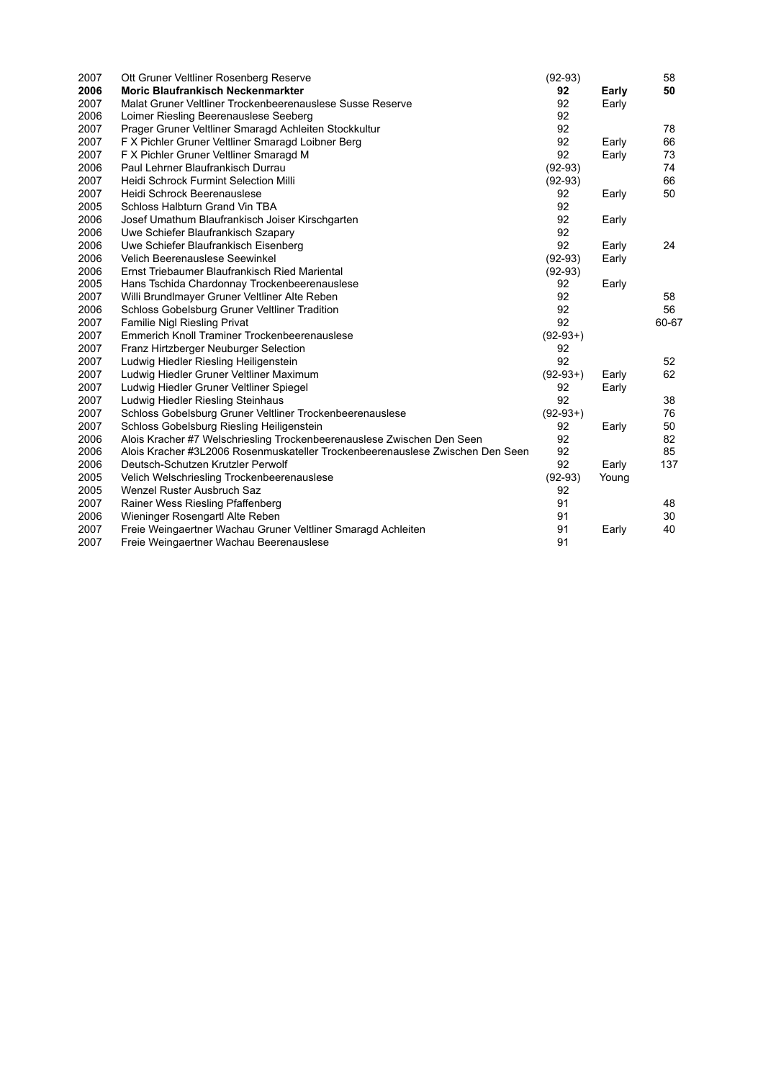| 2007 | Ott Gruner Veltliner Rosenberg Reserve                                        | $(92-93)$  |       | 58    |
|------|-------------------------------------------------------------------------------|------------|-------|-------|
| 2006 | <b>Moric Blaufrankisch Neckenmarkter</b>                                      | 92         | Early | 50    |
| 2007 | Malat Gruner Veltliner Trockenbeerenauslese Susse Reserve                     | 92         | Early |       |
| 2006 | Loimer Riesling Beerenauslese Seeberg                                         | 92         |       |       |
| 2007 | Prager Gruner Veltliner Smaragd Achleiten Stockkultur                         | 92         |       | 78    |
| 2007 | F X Pichler Gruner Veltliner Smaragd Loibner Berg                             | 92         | Early | 66    |
| 2007 | F X Pichler Gruner Veltliner Smaragd M                                        | 92         | Early | 73    |
| 2006 | Paul Lehrner Blaufrankisch Durrau                                             | $(92-93)$  |       | 74    |
| 2007 | <b>Heidi Schrock Furmint Selection Milli</b>                                  | $(92-93)$  |       | 66    |
| 2007 | Heidi Schrock Beerenauslese                                                   | 92         | Early | 50    |
| 2005 | Schloss Halbturn Grand Vin TBA                                                | 92         |       |       |
| 2006 | Josef Umathum Blaufrankisch Joiser Kirschgarten                               | 92         | Early |       |
| 2006 | Uwe Schiefer Blaufrankisch Szapary                                            | 92         |       |       |
| 2006 | Uwe Schiefer Blaufrankisch Eisenberg                                          | 92         | Early | 24    |
| 2006 | Velich Beerenauslese Seewinkel                                                | $(92-93)$  | Early |       |
| 2006 | Ernst Triebaumer Blaufrankisch Ried Mariental                                 | $(92-93)$  |       |       |
| 2005 | Hans Tschida Chardonnay Trockenbeerenauslese                                  | 92         | Early |       |
| 2007 | Willi Brundlmayer Gruner Veltliner Alte Reben                                 | 92         |       | 58    |
| 2006 | Schloss Gobelsburg Gruner Veltliner Tradition                                 | 92         |       | 56    |
| 2007 | Familie Nigl Riesling Privat                                                  | 92         |       | 60-67 |
| 2007 | Emmerich Knoll Traminer Trockenbeerenauslese                                  | $(92-93+)$ |       |       |
| 2007 | Franz Hirtzberger Neuburger Selection                                         | 92         |       |       |
| 2007 | Ludwig Hiedler Riesling Heiligenstein                                         | 92         |       | 52    |
| 2007 | Ludwig Hiedler Gruner Veltliner Maximum                                       | $(92-93+)$ | Early | 62    |
| 2007 | Ludwig Hiedler Gruner Veltliner Spiegel                                       | 92         | Early |       |
| 2007 | Ludwig Hiedler Riesling Steinhaus                                             | 92         |       | 38    |
| 2007 | Schloss Gobelsburg Gruner Veltliner Trockenbeerenauslese                      | $(92-93+)$ |       | 76    |
| 2007 | Schloss Gobelsburg Riesling Heiligenstein                                     | 92         | Early | 50    |
| 2006 | Alois Kracher #7 Welschriesling Trockenbeerenauslese Zwischen Den Seen        | 92         |       | 82    |
| 2006 | Alois Kracher #3L2006 Rosenmuskateller Trockenbeerenauslese Zwischen Den Seen | 92         |       | 85    |
| 2006 | Deutsch-Schutzen Krutzler Perwolf                                             | 92         | Early | 137   |
| 2005 | Velich Welschriesling Trockenbeerenauslese                                    | $(92-93)$  | Young |       |
| 2005 | Wenzel Ruster Ausbruch Saz                                                    | 92         |       |       |
| 2007 | Rainer Wess Riesling Pfaffenberg                                              | 91         |       | 48    |
| 2006 | Wieninger Rosengartl Alte Reben                                               | 91         |       | 30    |
| 2007 | Freie Weingaertner Wachau Gruner Veltliner Smaragd Achleiten                  | 91         | Early | 40    |
| 2007 | Freie Weingaertner Wachau Beerenauslese                                       | 91         |       |       |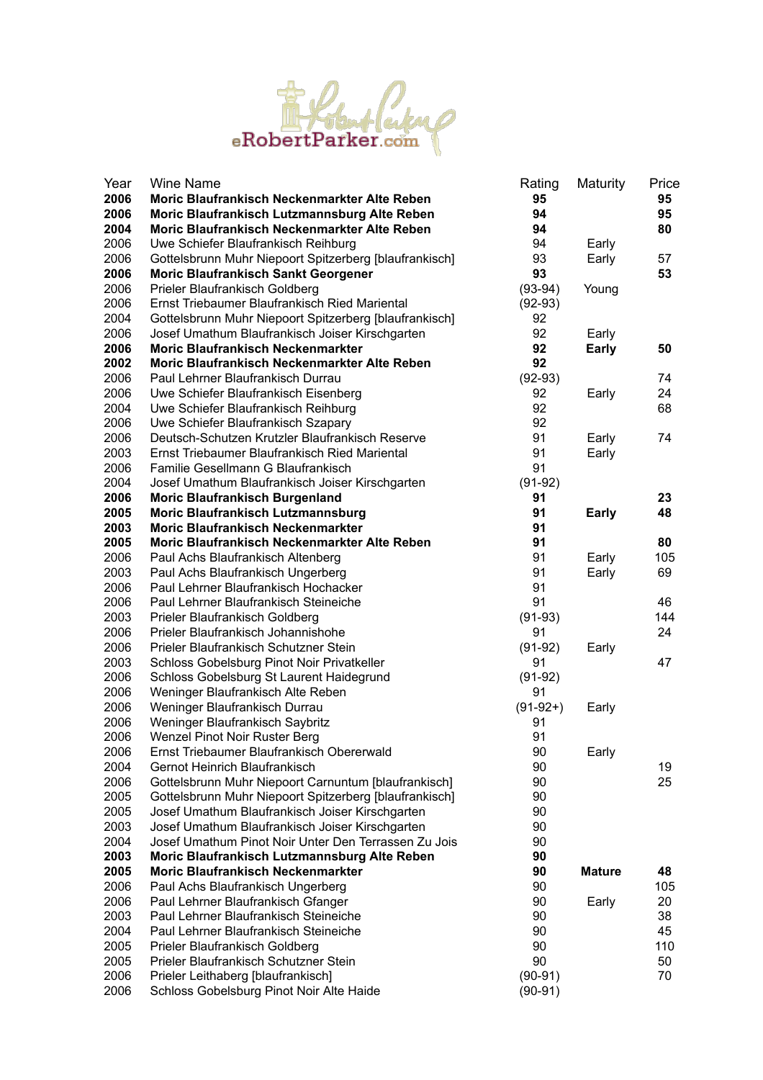

| Year | <b>Wine Name</b>                                       | Rating     | Maturity      | Price |
|------|--------------------------------------------------------|------------|---------------|-------|
| 2006 | Moric Blaufrankisch Neckenmarkter Alte Reben           | 95         |               | 95    |
| 2006 | Moric Blaufrankisch Lutzmannsburg Alte Reben           | 94         |               | 95    |
| 2004 | Moric Blaufrankisch Neckenmarkter Alte Reben           | 94         |               | 80    |
| 2006 | Uwe Schiefer Blaufrankisch Reihburg                    | 94         | Early         |       |
| 2006 | Gottelsbrunn Muhr Niepoort Spitzerberg [blaufrankisch] | 93         | Early         | 57    |
| 2006 | <b>Moric Blaufrankisch Sankt Georgener</b>             | 93         |               | 53    |
| 2006 | Prieler Blaufrankisch Goldberg                         | $(93-94)$  | Young         |       |
| 2006 | Ernst Triebaumer Blaufrankisch Ried Mariental          | $(92-93)$  |               |       |
| 2004 | Gottelsbrunn Muhr Niepoort Spitzerberg [blaufrankisch] | 92         |               |       |
| 2006 | Josef Umathum Blaufrankisch Joiser Kirschgarten        | 92         | Early         |       |
| 2006 | <b>Moric Blaufrankisch Neckenmarkter</b>               | 92         | <b>Early</b>  | 50    |
| 2002 | Moric Blaufrankisch Neckenmarkter Alte Reben           | 92         |               |       |
| 2006 | Paul Lehrner Blaufrankisch Durrau                      | $(92-93)$  |               | 74    |
| 2006 | Uwe Schiefer Blaufrankisch Eisenberg                   | 92         | Early         | 24    |
| 2004 | Uwe Schiefer Blaufrankisch Reihburg                    | 92         |               | 68    |
| 2006 | Uwe Schiefer Blaufrankisch Szapary                     | 92         |               |       |
| 2006 | Deutsch-Schutzen Krutzler Blaufrankisch Reserve        | 91         | Early         | 74    |
| 2003 | Ernst Triebaumer Blaufrankisch Ried Mariental          | 91         | Early         |       |
| 2006 | Familie Gesellmann G Blaufrankisch                     | 91         |               |       |
| 2004 | Josef Umathum Blaufrankisch Joiser Kirschgarten        | $(91-92)$  |               |       |
| 2006 | <b>Moric Blaufrankisch Burgenland</b>                  | 91         |               | 23    |
| 2005 | <b>Moric Blaufrankisch Lutzmannsburg</b>               | 91         | <b>Early</b>  | 48    |
| 2003 | <b>Moric Blaufrankisch Neckenmarkter</b>               | 91         |               |       |
| 2005 | Moric Blaufrankisch Neckenmarkter Alte Reben           | 91         |               | 80    |
| 2006 | Paul Achs Blaufrankisch Altenberg                      | 91         | Early         | 105   |
| 2003 | Paul Achs Blaufrankisch Ungerberg                      | 91         | Early         | 69    |
| 2006 | Paul Lehrner Blaufrankisch Hochacker                   | 91         |               |       |
| 2006 | Paul Lehrner Blaufrankisch Steineiche                  | 91         |               | 46    |
| 2003 | Prieler Blaufrankisch Goldberg                         | $(91-93)$  |               | 144   |
| 2006 | Prieler Blaufrankisch Johannishohe                     | 91         |               | 24    |
| 2006 | Prieler Blaufrankisch Schutzner Stein                  | $(91-92)$  | Early         |       |
| 2003 | Schloss Gobelsburg Pinot Noir Privatkeller             | 91         |               | 47    |
| 2006 | Schloss Gobelsburg St Laurent Haidegrund               | $(91-92)$  |               |       |
| 2006 | Weninger Blaufrankisch Alte Reben                      | 91         |               |       |
| 2006 | Weninger Blaufrankisch Durrau                          | $(91-92+)$ | Early         |       |
| 2006 | Weninger Blaufrankisch Saybritz                        | 91         |               |       |
| 2006 | Wenzel Pinot Noir Ruster Berg                          | 91         |               |       |
| 2006 | Ernst Triebaumer Blaufrankisch Obererwald              | 90         | Early         |       |
| 2004 | Gernot Heinrich Blaufrankisch                          | 90         |               | 19    |
| 2006 | Gottelsbrunn Muhr Niepoort Carnuntum [blaufrankisch]   | 90         |               | 25    |
| 2005 | Gottelsbrunn Muhr Niepoort Spitzerberg [blaufrankisch] | 90         |               |       |
| 2005 | Josef Umathum Blaufrankisch Joiser Kirschgarten        | 90         |               |       |
| 2003 | Josef Umathum Blaufrankisch Joiser Kirschgarten        | 90         |               |       |
| 2004 | Josef Umathum Pinot Noir Unter Den Terrassen Zu Jois   | 90         |               |       |
| 2003 | Moric Blaufrankisch Lutzmannsburg Alte Reben           | 90         |               |       |
| 2005 | <b>Moric Blaufrankisch Neckenmarkter</b>               | 90         | <b>Mature</b> | 48    |
| 2006 | Paul Achs Blaufrankisch Ungerberg                      | 90         |               | 105   |
| 2006 | Paul Lehrner Blaufrankisch Gfanger                     | 90         | Early         | 20    |
| 2003 | Paul Lehrner Blaufrankisch Steineiche                  | 90         |               | 38    |
| 2004 | Paul Lehrner Blaufrankisch Steineiche                  | 90         |               | 45    |
| 2005 | Prieler Blaufrankisch Goldberg                         | 90         |               | 110   |
| 2005 | Prieler Blaufrankisch Schutzner Stein                  | 90         |               | 50    |
| 2006 | Prieler Leithaberg [blaufrankisch]                     | $(90-91)$  |               | 70    |
| 2006 | Schloss Gobelsburg Pinot Noir Alte Haide               | $(90-91)$  |               |       |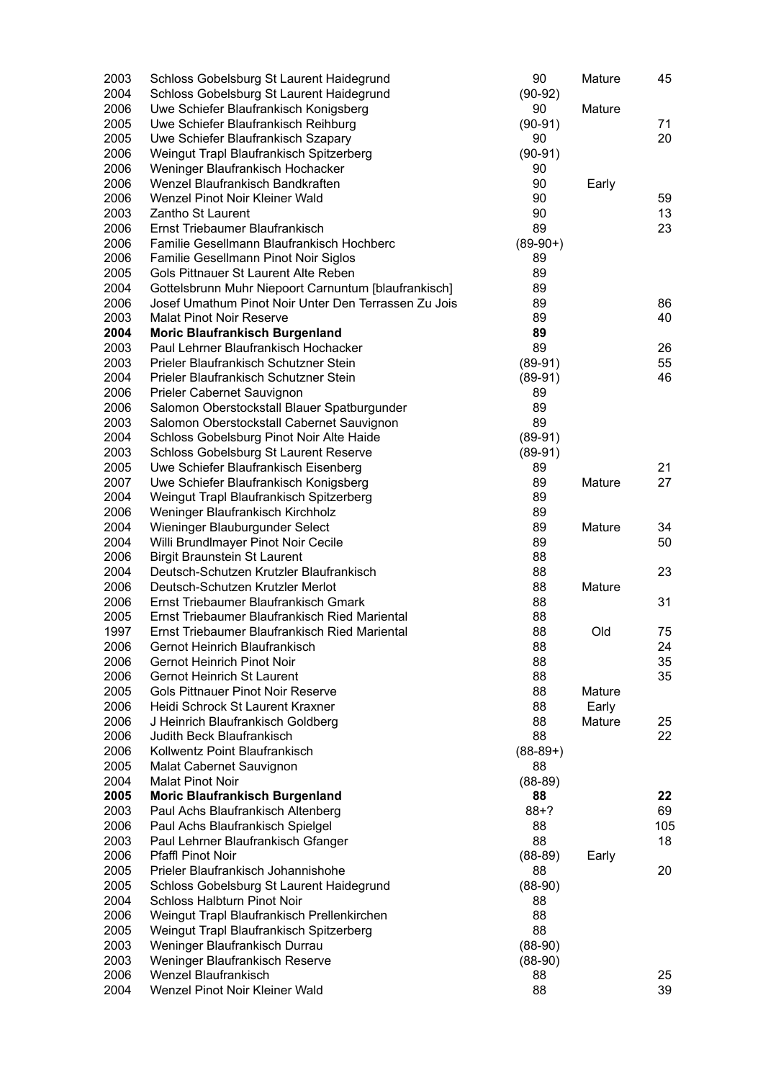| 2003         | Schloss Gobelsburg St Laurent Haidegrund                                                 | 90         | Mature | 45  |
|--------------|------------------------------------------------------------------------------------------|------------|--------|-----|
| 2004         | Schloss Gobelsburg St Laurent Haidegrund                                                 | $(90-92)$  |        |     |
| 2006         | Uwe Schiefer Blaufrankisch Konigsberg                                                    | 90         | Mature |     |
| 2005         | Uwe Schiefer Blaufrankisch Reihburg                                                      | $(90-91)$  |        | 71  |
| 2005         | Uwe Schiefer Blaufrankisch Szapary                                                       | 90         |        | 20  |
| 2006         | Weingut Trapl Blaufrankisch Spitzerberg                                                  | $(90-91)$  |        |     |
| 2006         | Weninger Blaufrankisch Hochacker                                                         | 90         |        |     |
| 2006         | Wenzel Blaufrankisch Bandkraften                                                         | 90         | Early  |     |
| 2006         | Wenzel Pinot Noir Kleiner Wald                                                           | 90         |        | 59  |
| 2003         | Zantho St Laurent                                                                        | 90         |        | 13  |
| 2006         | Ernst Triebaumer Blaufrankisch                                                           | 89         |        | 23  |
| 2006         | Familie Gesellmann Blaufrankisch Hochberc                                                | $(89-90+)$ |        |     |
| 2006         | Familie Gesellmann Pinot Noir Siglos                                                     | 89         |        |     |
| 2005         | Gols Pittnauer St Laurent Alte Reben                                                     | 89         |        |     |
| 2004         | Gottelsbrunn Muhr Niepoort Carnuntum [blaufrankisch]                                     | 89         |        |     |
| 2006         | Josef Umathum Pinot Noir Unter Den Terrassen Zu Jois                                     | 89         |        | 86  |
| 2003         | <b>Malat Pinot Noir Reserve</b>                                                          | 89         |        | 40  |
| 2004         | <b>Moric Blaufrankisch Burgenland</b>                                                    | 89         |        |     |
| 2003         | Paul Lehrner Blaufrankisch Hochacker                                                     | 89         |        | 26  |
| 2003         | Prieler Blaufrankisch Schutzner Stein                                                    | $(89-91)$  |        | 55  |
| 2004         | Prieler Blaufrankisch Schutzner Stein                                                    | $(89-91)$  |        | 46  |
| 2006<br>2006 | Prieler Cabernet Sauvignon                                                               | 89<br>89   |        |     |
| 2003         | Salomon Oberstockstall Blauer Spatburgunder<br>Salomon Oberstockstall Cabernet Sauvignon | 89         |        |     |
| 2004         | Schloss Gobelsburg Pinot Noir Alte Haide                                                 | $(89-91)$  |        |     |
| 2003         | Schloss Gobelsburg St Laurent Reserve                                                    | $(89-91)$  |        |     |
| 2005         | Uwe Schiefer Blaufrankisch Eisenberg                                                     | 89         |        | 21  |
| 2007         | Uwe Schiefer Blaufrankisch Konigsberg                                                    | 89         | Mature | 27  |
| 2004         | Weingut Trapl Blaufrankisch Spitzerberg                                                  | 89         |        |     |
| 2006         | Weninger Blaufrankisch Kirchholz                                                         | 89         |        |     |
| 2004         | Wieninger Blauburgunder Select                                                           | 89         | Mature | 34  |
| 2004         | Willi Brundlmayer Pinot Noir Cecile                                                      | 89         |        | 50  |
| 2006         | <b>Birgit Braunstein St Laurent</b>                                                      | 88         |        |     |
| 2004         | Deutsch-Schutzen Krutzler Blaufrankisch                                                  | 88         |        | 23  |
| 2006         | Deutsch-Schutzen Krutzler Merlot                                                         | 88         | Mature |     |
| 2006         | Ernst Triebaumer Blaufrankisch Gmark                                                     | 88         |        | 31  |
| 2005         | Ernst Triebaumer Blaufrankisch Ried Mariental                                            | 88         |        |     |
| 1997         | Ernst Triebaumer Blaufrankisch Ried Mariental                                            | 88         | Old    | 75  |
| 2006         | Gernot Heinrich Blaufrankisch                                                            | 88         |        | 24  |
| 2006         | Gernot Heinrich Pinot Noir                                                               | 88         |        | 35  |
| 2006         | <b>Gernot Heinrich St Laurent</b>                                                        | 88         |        | 35  |
| 2005         | <b>Gols Pittnauer Pinot Noir Reserve</b>                                                 | 88         | Mature |     |
| 2006         | Heidi Schrock St Laurent Kraxner                                                         | 88         | Early  |     |
| 2006         | J Heinrich Blaufrankisch Goldberg                                                        | 88         | Mature | 25  |
| 2006         | Judith Beck Blaufrankisch                                                                | 88         |        | 22  |
| 2006         | Kollwentz Point Blaufrankisch                                                            | $(88-89+)$ |        |     |
| 2005         | Malat Cabernet Sauvignon                                                                 | 88         |        |     |
| 2004         | <b>Malat Pinot Noir</b>                                                                  | $(88-89)$  |        |     |
| 2005         | <b>Moric Blaufrankisch Burgenland</b>                                                    | 88         |        | 22  |
| 2003         | Paul Achs Blaufrankisch Altenberg                                                        | $88 + ?$   |        | 69  |
| 2006         | Paul Achs Blaufrankisch Spielgel                                                         | 88         |        | 105 |
| 2003         | Paul Lehrner Blaufrankisch Gfanger                                                       | 88         |        | 18  |
| 2006         | Pfaffl Pinot Noir                                                                        | $(88-89)$  | Early  |     |
| 2005         | Prieler Blaufrankisch Johannishohe                                                       | 88         |        | 20  |
| 2005         | Schloss Gobelsburg St Laurent Haidegrund                                                 | $(88-90)$  |        |     |
| 2004         | Schloss Halbturn Pinot Noir                                                              | 88         |        |     |
| 2006         | Weingut Trapl Blaufrankisch Prellenkirchen                                               | 88         |        |     |
| 2005         | Weingut Trapl Blaufrankisch Spitzerberg                                                  | 88         |        |     |
| 2003         | Weninger Blaufrankisch Durrau                                                            | $(88-90)$  |        |     |
| 2003         | Weninger Blaufrankisch Reserve                                                           | $(88-90)$  |        |     |
| 2006         | Wenzel Blaufrankisch                                                                     | 88         |        | 25  |
| 2004         | Wenzel Pinot Noir Kleiner Wald                                                           | 88         |        | 39  |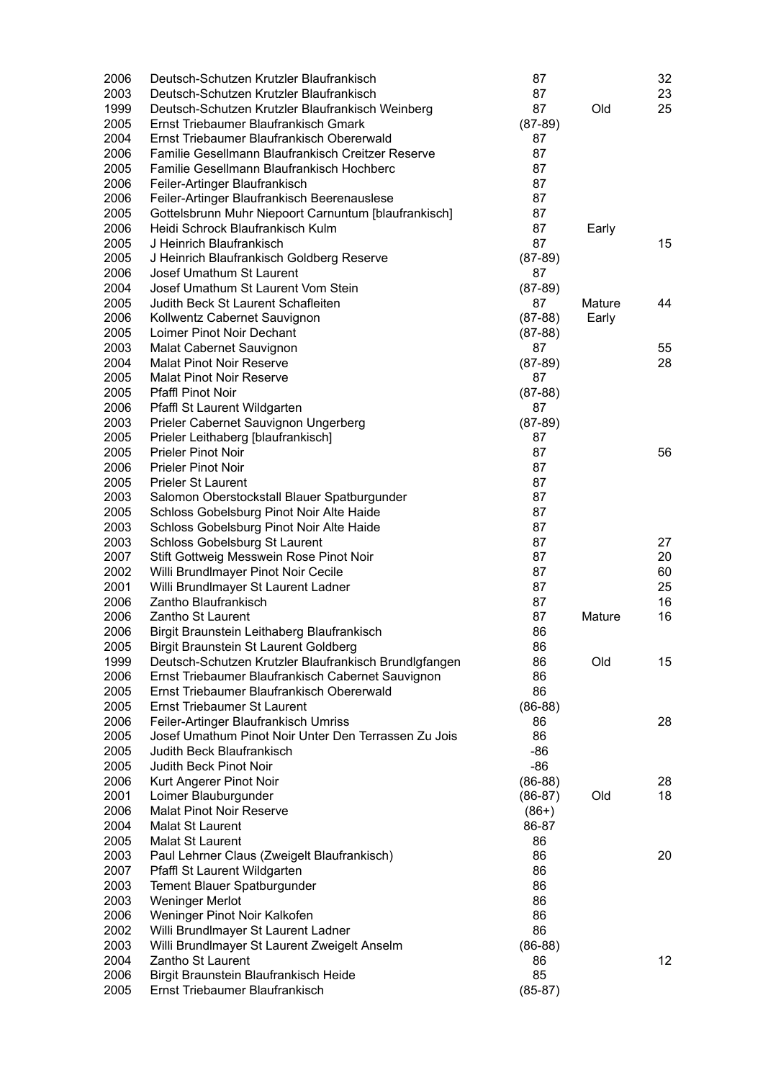| 2006 | Deutsch-Schutzen Krutzler Blaufrankisch               | 87        |        | 32 |
|------|-------------------------------------------------------|-----------|--------|----|
| 2003 | Deutsch-Schutzen Krutzler Blaufrankisch               | 87        |        | 23 |
| 1999 | Deutsch-Schutzen Krutzler Blaufrankisch Weinberg      | 87        | Old    | 25 |
| 2005 | Ernst Triebaumer Blaufrankisch Gmark                  | $(87-89)$ |        |    |
| 2004 | Ernst Triebaumer Blaufrankisch Obererwald             | 87        |        |    |
| 2006 | Familie Gesellmann Blaufrankisch Creitzer Reserve     | 87        |        |    |
| 2005 | Familie Gesellmann Blaufrankisch Hochberc             | 87        |        |    |
| 2006 | Feiler-Artinger Blaufrankisch                         | 87        |        |    |
| 2006 | Feiler-Artinger Blaufrankisch Beerenauslese           | 87        |        |    |
| 2005 | Gottelsbrunn Muhr Niepoort Carnuntum [blaufrankisch]  | 87        |        |    |
| 2006 | Heidi Schrock Blaufrankisch Kulm                      | 87        | Early  |    |
| 2005 | J Heinrich Blaufrankisch                              | 87        |        | 15 |
|      |                                                       |           |        |    |
| 2005 | J Heinrich Blaufrankisch Goldberg Reserve             | $(87-89)$ |        |    |
| 2006 | Josef Umathum St Laurent                              | 87        |        |    |
| 2004 | Josef Umathum St Laurent Vom Stein                    | $(87-89)$ |        |    |
| 2005 | Judith Beck St Laurent Schafleiten                    | 87        | Mature | 44 |
| 2006 | Kollwentz Cabernet Sauvignon                          | $(87-88)$ | Early  |    |
| 2005 | Loimer Pinot Noir Dechant                             | $(87-88)$ |        |    |
| 2003 | Malat Cabernet Sauvignon                              | 87        |        | 55 |
| 2004 | <b>Malat Pinot Noir Reserve</b>                       | $(87-89)$ |        | 28 |
| 2005 | <b>Malat Pinot Noir Reserve</b>                       | 87        |        |    |
| 2005 | <b>Pfaffl Pinot Noir</b>                              | $(87-88)$ |        |    |
| 2006 | Pfaffl St Laurent Wildgarten                          | 87        |        |    |
| 2003 | Prieler Cabernet Sauvignon Ungerberg                  | $(87-89)$ |        |    |
| 2005 | Prieler Leithaberg [blaufrankisch]                    | 87        |        |    |
| 2005 | <b>Prieler Pinot Noir</b>                             | 87        |        | 56 |
| 2006 | <b>Prieler Pinot Noir</b>                             | 87        |        |    |
| 2005 | <b>Prieler St Laurent</b>                             | 87        |        |    |
| 2003 | Salomon Oberstockstall Blauer Spatburgunder           | 87        |        |    |
| 2005 | Schloss Gobelsburg Pinot Noir Alte Haide              | 87        |        |    |
| 2003 | Schloss Gobelsburg Pinot Noir Alte Haide              | 87        |        |    |
| 2003 | Schloss Gobelsburg St Laurent                         | 87        |        | 27 |
| 2007 | Stift Gottweig Messwein Rose Pinot Noir               | 87        |        | 20 |
| 2002 | Willi Brundlmayer Pinot Noir Cecile                   | 87        |        | 60 |
| 2001 | Willi Brundlmayer St Laurent Ladner                   | 87        |        | 25 |
| 2006 | Zantho Blaufrankisch                                  | 87        |        | 16 |
| 2006 | Zantho St Laurent                                     | 87        | Mature | 16 |
| 2006 | Birgit Braunstein Leithaberg Blaufrankisch            | 86        |        |    |
| 2005 | Birgit Braunstein St Laurent Goldberg                 | 86        |        |    |
| 1999 | Deutsch-Schutzen Krutzler Blaufrankisch Brundlgfangen | 86        | Old    | 15 |
| 2006 | Ernst Triebaumer Blaufrankisch Cabernet Sauvignon     | 86        |        |    |
| 2005 | Ernst Triebaumer Blaufrankisch Obererwald             | 86        |        |    |
| 2005 | <b>Ernst Triebaumer St Laurent</b>                    | $(86-88)$ |        |    |
| 2006 | Feiler-Artinger Blaufrankisch Umriss                  |           |        |    |
|      | Josef Umathum Pinot Noir Unter Den Terrassen Zu Jois  | 86<br>86  |        | 28 |
| 2005 |                                                       |           |        |    |
| 2005 | Judith Beck Blaufrankisch                             | $-86$     |        |    |
| 2005 | Judith Beck Pinot Noir                                | $-86$     |        |    |
| 2006 | Kurt Angerer Pinot Noir                               | $(86-88)$ |        | 28 |
| 2001 | Loimer Blauburgunder                                  | $(86-87)$ | Old    | 18 |
| 2006 | <b>Malat Pinot Noir Reserve</b>                       | $(86+)$   |        |    |
| 2004 | Malat St Laurent                                      | 86-87     |        |    |
| 2005 | <b>Malat St Laurent</b>                               | 86        |        |    |
| 2003 | Paul Lehrner Claus (Zweigelt Blaufrankisch)           | 86        |        | 20 |
| 2007 | Pfaffl St Laurent Wildgarten                          | 86        |        |    |
| 2003 | Tement Blauer Spatburgunder                           | 86        |        |    |
| 2003 | <b>Weninger Merlot</b>                                | 86        |        |    |
| 2006 | Weninger Pinot Noir Kalkofen                          | 86        |        |    |
| 2002 | Willi Brundlmayer St Laurent Ladner                   | 86        |        |    |
| 2003 | Willi Brundlmayer St Laurent Zweigelt Anselm          | $(86-88)$ |        |    |
| 2004 | Zantho St Laurent                                     | 86        |        | 12 |
| 2006 | Birgit Braunstein Blaufrankisch Heide                 | 85        |        |    |
| 2005 | Ernst Triebaumer Blaufrankisch                        | $(85-87)$ |        |    |